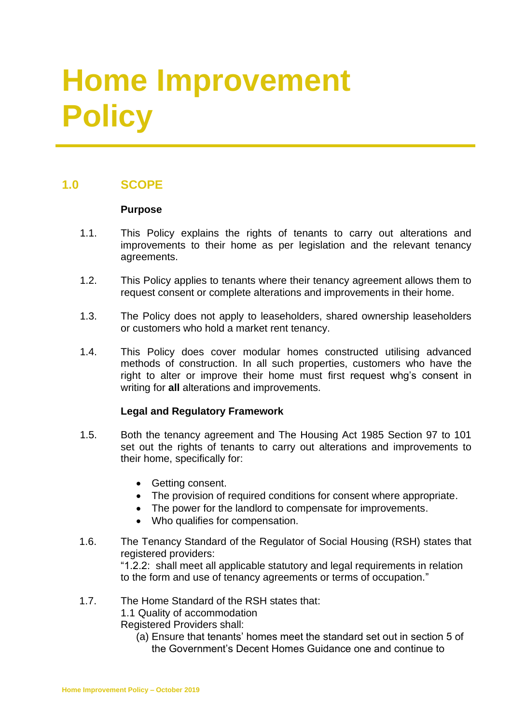# **Home Improvement Policy**

# **1.0 SCOPE**

### **Purpose**

- 1.1. This Policy explains the rights of tenants to carry out alterations and improvements to their home as per legislation and the relevant tenancy agreements.
- 1.2. This Policy applies to tenants where their tenancy agreement allows them to request consent or complete alterations and improvements in their home.
- 1.3. The Policy does not apply to leaseholders, shared ownership leaseholders or customers who hold a market rent tenancy.
- 1.4. This Policy does cover modular homes constructed utilising advanced methods of construction. In all such properties, customers who have the right to alter or improve their home must first request whg's consent in writing for **all** alterations and improvements.

## **Legal and Regulatory Framework**

- 1.5. Both the tenancy agreement and The Housing Act 1985 Section 97 to 101 set out the rights of tenants to carry out alterations and improvements to their home, specifically for:
	- Getting consent.
	- The provision of required conditions for consent where appropriate.
	- The power for the landlord to compensate for improvements.
	- Who qualifies for compensation.
- 1.6. The Tenancy Standard of the Regulator of Social Housing (RSH) states that registered providers:

"1.2.2: shall meet all applicable statutory and legal requirements in relation to the form and use of tenancy agreements or terms of occupation."

- 1.7. The Home Standard of the RSH states that:
	- 1.1 Quality of accommodation

Registered Providers shall:

(a) Ensure that tenants' homes meet the standard set out in section 5 of the Government's Decent Homes Guidance one and continue to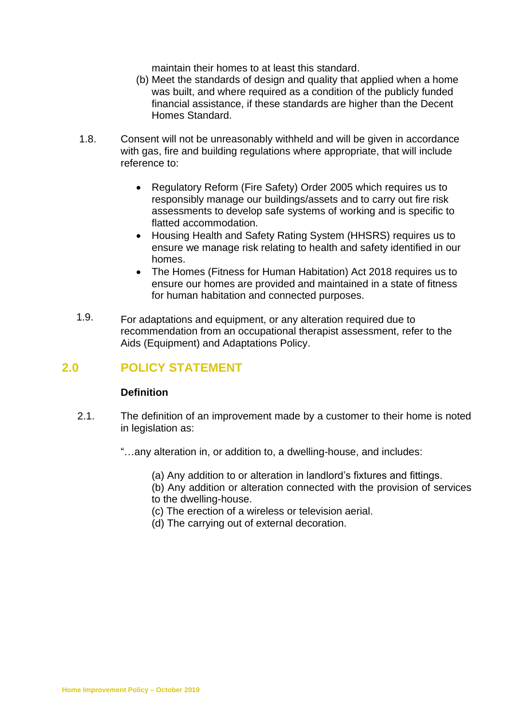maintain their homes to at least this standard.

- (b) Meet the standards of design and quality that applied when a home was built, and where required as a condition of the publicly funded financial assistance, if these standards are higher than the Decent Homes Standard.
- 1.8. Consent will not be unreasonably withheld and will be given in accordance with gas, fire and building regulations where appropriate, that will include reference to:
	- Regulatory Reform (Fire Safety) Order 2005 which requires us to responsibly manage our buildings/assets and to carry out fire risk assessments to develop safe systems of working and is specific to flatted accommodation.
	- Housing Health and Safety Rating System (HHSRS) requires us to ensure we manage risk relating to health and safety identified in our homes.
	- The Homes (Fitness for Human Habitation) Act 2018 requires us to ensure our homes are provided and maintained in a state of fitness for human habitation and connected purposes.
- 1.9. For adaptations and equipment, or any alteration required due to recommendation from an occupational therapist assessment, refer to the Aids (Equipment) and Adaptations Policy.

# **2.0 POLICY STATEMENT**

## **Definition**

- 2.1. The definition of an improvement made by a customer to their home is noted in legislation as:
	- "…any alteration in, or addition to, a dwelling-house, and includes:
		- (a) Any addition to or alteration in landlord's fixtures and fittings.

(b) Any addition or alteration connected with the provision of services to the dwelling-house.

- (c) The erection of a wireless or television aerial.
- (d) The carrying out of external decoration.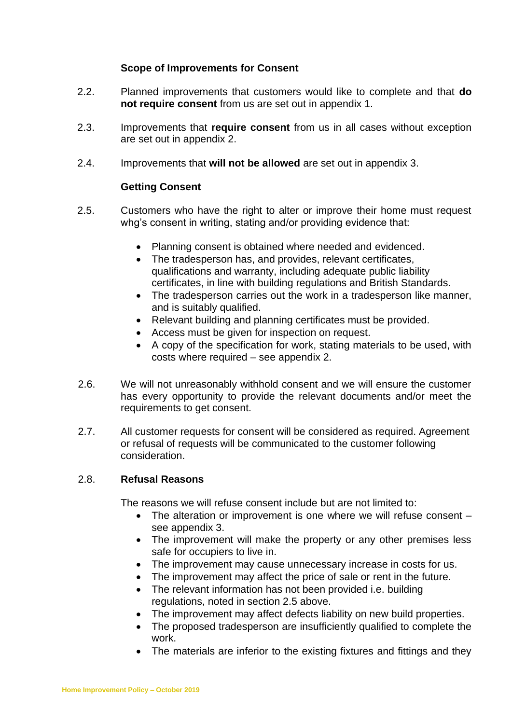#### **Scope of Improvements for Consent**

- 2.2. Planned improvements that customers would like to complete and that **do not require consent** from us are set out in appendix 1.
- 2.3. Improvements that **require consent** from us in all cases without exception are set out in appendix 2.
- 2.4. Improvements that **will not be allowed** are set out in appendix 3.

## **Getting Consent**

- 2.5. Customers who have the right to alter or improve their home must request whg's consent in writing, stating and/or providing evidence that:
	- Planning consent is obtained where needed and evidenced.
	- The tradesperson has, and provides, relevant certificates, qualifications and warranty, including adequate public liability certificates, in line with building regulations and British Standards.
	- The tradesperson carries out the work in a tradesperson like manner, and is suitably qualified.
	- Relevant building and planning certificates must be provided.
	- Access must be given for inspection on request.
	- A copy of the specification for work, stating materials to be used, with costs where required – see appendix 2.
- 2.6. We will not unreasonably withhold consent and we will ensure the customer has every opportunity to provide the relevant documents and/or meet the requirements to get consent.
- 2.7. All customer requests for consent will be considered as required. Agreement or refusal of requests will be communicated to the customer following consideration.

## 2.8. **Refusal Reasons**

The reasons we will refuse consent include but are not limited to:

- The alteration or improvement is one where we will refuse consent see appendix 3.
- The improvement will make the property or any other premises less safe for occupiers to live in.
- The improvement may cause unnecessary increase in costs for us.
- The improvement may affect the price of sale or rent in the future.
- The relevant information has not been provided i.e. building regulations, noted in section 2.5 above.
- The improvement may affect defects liability on new build properties.
- The proposed tradesperson are insufficiently qualified to complete the work.
- The materials are inferior to the existing fixtures and fittings and they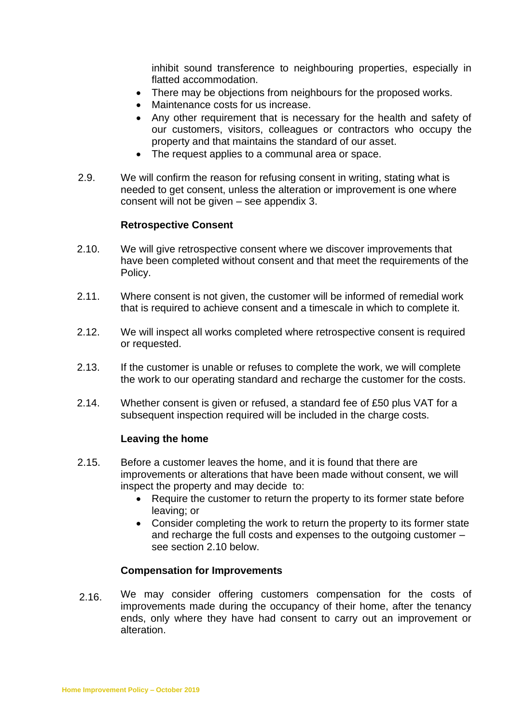inhibit sound transference to neighbouring properties, especially in flatted accommodation.

- There may be objections from neighbours for the proposed works.
- Maintenance costs for us increase.
- Any other requirement that is necessary for the health and safety of our customers, visitors, colleagues or contractors who occupy the property and that maintains the standard of our asset.
- The request applies to a communal area or space.
- 2.9. We will confirm the reason for refusing consent in writing, stating what is needed to get consent, unless the alteration or improvement is one where consent will not be given – see appendix 3.

#### **Retrospective Consent**

- 2.10. We will give retrospective consent where we discover improvements that have been completed without consent and that meet the requirements of the Policy.
- 2.11. Where consent is not given, the customer will be informed of remedial work that is required to achieve consent and a timescale in which to complete it.
- 2.12. We will inspect all works completed where retrospective consent is required or requested.
- 2.13. If the customer is unable or refuses to complete the work, we will complete the work to our operating standard and recharge the customer for the costs.
- 2.14. Whether consent is given or refused, a standard fee of £50 plus VAT for a subsequent inspection required will be included in the charge costs.

#### **Leaving the home**

- 2.15. Before a customer leaves the home, and it is found that there are improvements or alterations that have been made without consent, we will inspect the property and may decide to:
	- Require the customer to return the property to its former state before leaving; or
	- Consider completing the work to return the property to its former state and recharge the full costs and expenses to the outgoing customer – see section 2.10 below.

#### **Compensation for Improvements**

 2.16. We may consider offering customers compensation for the costs of improvements made during the occupancy of their home, after the tenancy ends, only where they have had consent to carry out an improvement or alteration.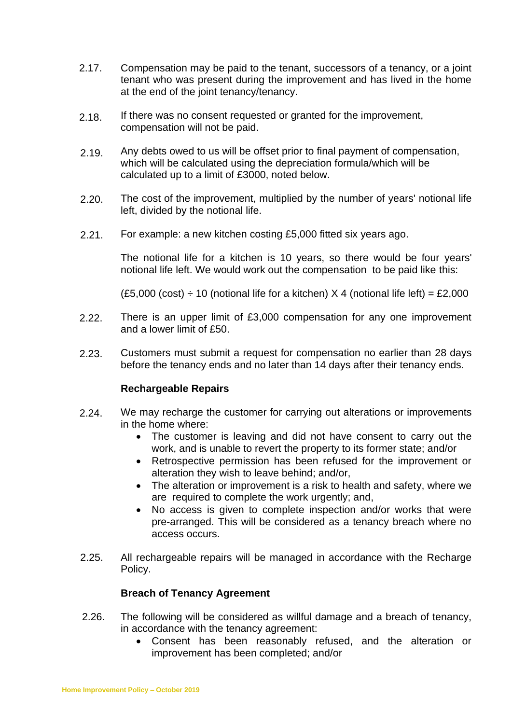- 2.17. Compensation may be paid to the tenant, successors of a tenancy, or a joint tenant who was present during the improvement and has lived in the home at the end of the joint tenancy/tenancy.
- 2.18. If there was no consent requested or granted for the improvement, compensation will not be paid.
- 2.19. Any debts owed to us will be offset prior to final payment of compensation, which will be calculated using the depreciation formula/which will be calculated up to a limit of £3000, noted below.
- 2.20. The cost of the improvement, multiplied by the number of years' notional life left, divided by the notional life.
- 2.21. For example: a new kitchen costing £5,000 fitted six years ago.

The notional life for a kitchen is 10 years, so there would be four years' notional life left. We would work out the compensation to be paid like this:

(£5,000 (cost)  $\div$  10 (notional life for a kitchen) X 4 (notional life left) = £2,000

- 2.22. There is an upper limit of £3,000 compensation for any one improvement and a lower limit of £50.
- 2.23. Customers must submit a request for compensation no earlier than 28 days before the tenancy ends and no later than 14 days after their tenancy ends.

#### **Rechargeable Repairs**

- 2.24. We may recharge the customer for carrying out alterations or improvements in the home where:
	- The customer is leaving and did not have consent to carry out the work, and is unable to revert the property to its former state; and/or
	- Retrospective permission has been refused for the improvement or alteration they wish to leave behind; and/or,
	- The alteration or improvement is a risk to health and safety, where we are required to complete the work urgently; and,
	- No access is given to complete inspection and/or works that were pre-arranged. This will be considered as a tenancy breach where no access occurs.
- 2.25. All rechargeable repairs will be managed in accordance with the Recharge Policy.

#### **Breach of Tenancy Agreement**

- 2.26. The following will be considered as willful damage and a breach of tenancy, in accordance with the tenancy agreement:
	- Consent has been reasonably refused, and the alteration or improvement has been completed; and/or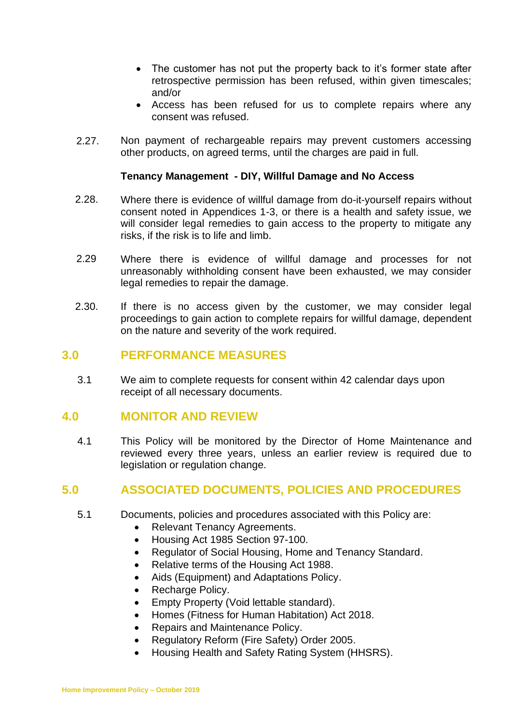- The customer has not put the property back to it's former state after retrospective permission has been refused, within given timescales; and/or
- Access has been refused for us to complete repairs where any consent was refused.
- 2.27. Non payment of rechargeable repairs may prevent customers accessing other products, on agreed terms, until the charges are paid in full.

#### **Tenancy Management - DIY, Willful Damage and No Access**

- 2.28. Where there is evidence of willful damage from do-it-yourself repairs without consent noted in Appendices 1-3, or there is a health and safety issue, we will consider legal remedies to gain access to the property to mitigate any risks, if the risk is to life and limb.
- 2.29 Where there is evidence of willful damage and processes for not unreasonably withholding consent have been exhausted, we may consider legal remedies to repair the damage.
- 2.30. If there is no access given by the customer, we may consider legal proceedings to gain action to complete repairs for willful damage, dependent on the nature and severity of the work required.

## **3.0 PERFORMANCE MEASURES**

3.1 We aim to complete requests for consent within 42 calendar days upon receipt of all necessary documents.

## **4.0 MONITOR AND REVIEW**

4.1 This Policy will be monitored by the Director of Home Maintenance and reviewed every three years, unless an earlier review is required due to legislation or regulation change.

## **5.0 ASSOCIATED DOCUMENTS, POLICIES AND PROCEDURES**

- 5.1 Documents, policies and procedures associated with this Policy are:
	- Relevant Tenancy Agreements.
	- Housing Act 1985 Section 97-100.
	- Regulator of Social Housing, Home and Tenancy Standard.
	- Relative terms of the Housing Act 1988.
	- Aids (Equipment) and Adaptations Policy.
	- Recharge Policy.
	- Empty Property (Void lettable standard).
	- Homes (Fitness for Human Habitation) Act 2018.
	- Repairs and Maintenance Policy.
	- Regulatory Reform (Fire Safety) Order 2005.
	- Housing Health and Safety Rating System (HHSRS).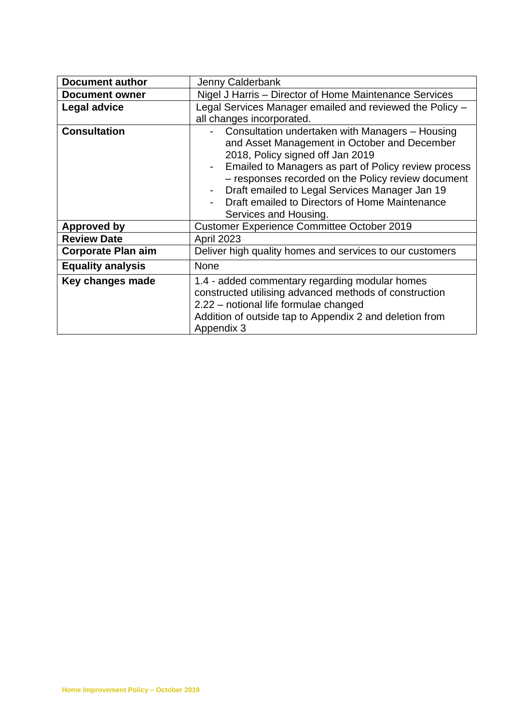| <b>Document author</b>    | Jenny Calderbank                                                                                                                                                                                                                                                                                                                                                                                                   |
|---------------------------|--------------------------------------------------------------------------------------------------------------------------------------------------------------------------------------------------------------------------------------------------------------------------------------------------------------------------------------------------------------------------------------------------------------------|
| <b>Document owner</b>     | Nigel J Harris - Director of Home Maintenance Services                                                                                                                                                                                                                                                                                                                                                             |
| Legal advice              | Legal Services Manager emailed and reviewed the Policy -                                                                                                                                                                                                                                                                                                                                                           |
|                           | all changes incorporated.                                                                                                                                                                                                                                                                                                                                                                                          |
| <b>Consultation</b>       | Consultation undertaken with Managers - Housing<br>and Asset Management in October and December<br>2018, Policy signed off Jan 2019<br>Emailed to Managers as part of Policy review process<br>$\blacksquare$<br>- responses recorded on the Policy review document<br>Draft emailed to Legal Services Manager Jan 19<br>$\blacksquare$<br>Draft emailed to Directors of Home Maintenance<br>Services and Housing. |
| <b>Approved by</b>        | <b>Customer Experience Committee October 2019</b>                                                                                                                                                                                                                                                                                                                                                                  |
| <b>Review Date</b>        | <b>April 2023</b>                                                                                                                                                                                                                                                                                                                                                                                                  |
| <b>Corporate Plan aim</b> | Deliver high quality homes and services to our customers                                                                                                                                                                                                                                                                                                                                                           |
| <b>Equality analysis</b>  | <b>None</b>                                                                                                                                                                                                                                                                                                                                                                                                        |
| Key changes made          | 1.4 - added commentary regarding modular homes<br>constructed utilising advanced methods of construction<br>2.22 - notional life formulae changed<br>Addition of outside tap to Appendix 2 and deletion from<br>Appendix 3                                                                                                                                                                                         |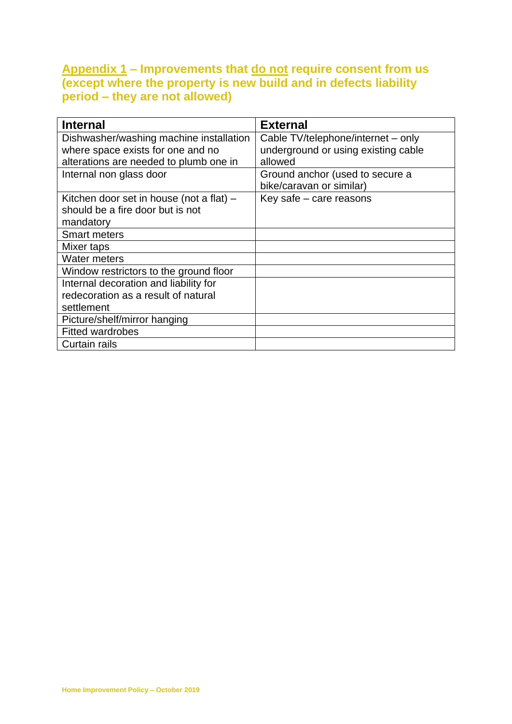# **Appendix 1 – Improvements that do not require consent from us (except where the property is new build and in defects liability period – they are not allowed)**

| <b>Internal</b>                          | <b>External</b>                     |
|------------------------------------------|-------------------------------------|
| Dishwasher/washing machine installation  | Cable TV/telephone/internet – only  |
| where space exists for one and no        | underground or using existing cable |
| alterations are needed to plumb one in   | allowed                             |
| Internal non glass door                  | Ground anchor (used to secure a     |
|                                          | bike/caravan or similar)            |
| Kitchen door set in house (not a flat) - | Key safe - care reasons             |
| should be a fire door but is not         |                                     |
| mandatory                                |                                     |
| <b>Smart meters</b>                      |                                     |
| Mixer taps                               |                                     |
| <b>Water meters</b>                      |                                     |
| Window restrictors to the ground floor   |                                     |
| Internal decoration and liability for    |                                     |
| redecoration as a result of natural      |                                     |
| settlement                               |                                     |
| Picture/shelf/mirror hanging             |                                     |
| <b>Fitted wardrobes</b>                  |                                     |
| Curtain rails                            |                                     |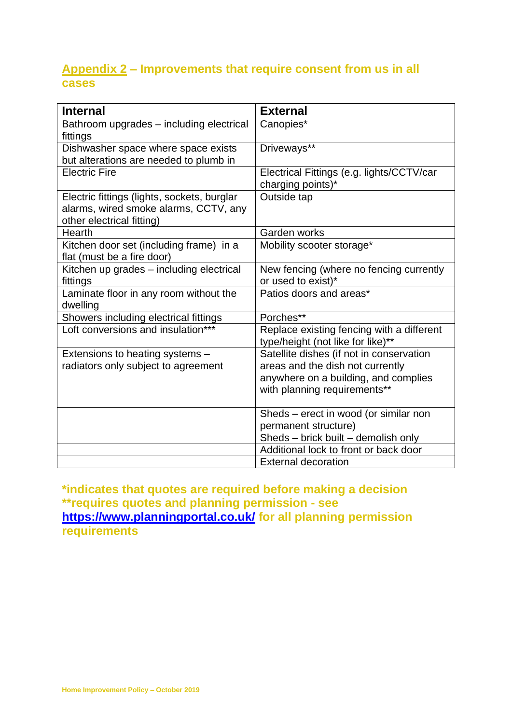# **Appendix 2 – Improvements that require consent from us in all cases**

| <b>Internal</b>                             | <b>External</b>                           |
|---------------------------------------------|-------------------------------------------|
|                                             |                                           |
| Bathroom upgrades - including electrical    | Canopies*                                 |
| fittings                                    |                                           |
| Dishwasher space where space exists         | Driveways**                               |
| but alterations are needed to plumb in      |                                           |
| <b>Electric Fire</b>                        | Electrical Fittings (e.g. lights/CCTV/car |
|                                             | charging points)*                         |
| Electric fittings (lights, sockets, burglar | Outside tap                               |
| alarms, wired smoke alarms, CCTV, any       |                                           |
| other electrical fitting)                   |                                           |
| Hearth                                      | Garden works                              |
| Kitchen door set (including frame) in a     | Mobility scooter storage*                 |
| flat (must be a fire door)                  |                                           |
| Kitchen up grades - including electrical    | New fencing (where no fencing currently   |
| fittings                                    | or used to exist)*                        |
| Laminate floor in any room without the      | Patios doors and areas*                   |
| dwelling                                    |                                           |
| Showers including electrical fittings       | Porches**                                 |
| Loft conversions and insulation***          | Replace existing fencing with a different |
|                                             | type/height (not like for like)**         |
| Extensions to heating systems -             | Satellite dishes (if not in conservation  |
| radiators only subject to agreement         | areas and the dish not currently          |
|                                             | anywhere on a building, and complies      |
|                                             | with planning requirements**              |
|                                             |                                           |
|                                             | Sheds - erect in wood (or similar non     |
|                                             | permanent structure)                      |
|                                             | Sheds - brick built - demolish only       |
|                                             | Additional lock to front or back door     |
|                                             | <b>External decoration</b>                |

**\*indicates that quotes are required before making a decision \*\*requires quotes and planning permission - see <https://www.planningportal.co.uk/> for all planning permission requirements**